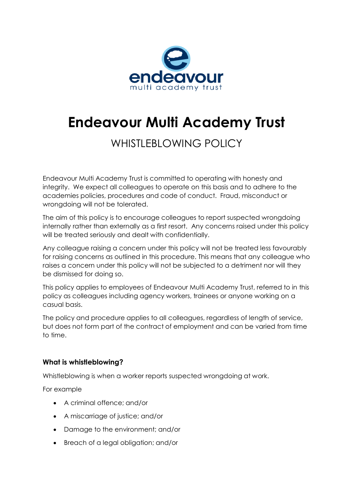

# **Endeavour Multi Academy Trust**

## WHISTLEBLOWING POLICY

Endeavour Multi Academy Trust is committed to operating with honesty and integrity. We expect all colleagues to operate on this basis and to adhere to the academies policies, procedures and code of conduct. Fraud, misconduct or wrongdoing will not be tolerated.

The aim of this policy is to encourage colleagues to report suspected wrongdoing internally rather than externally as a first resort. Any concerns raised under this policy will be treated seriously and dealt with confidentially.

Any colleague raising a concern under this policy will not be treated less favourably for raising concerns as outlined in this procedure. This means that any colleague who raises a concern under this policy will not be subjected to a detriment nor will they be dismissed for doing so.

This policy applies to employees of Endeavour Multi Academy Trust, referred to in this policy as colleagues including agency workers, trainees or anyone working on a casual basis.

The policy and procedure applies to all colleagues, regardless of length of service, but does not form part of the contract of employment and can be varied from time to time.

#### **What is whistleblowing?**

Whistleblowing is when a worker reports suspected wrongdoing at work.

For example

- A criminal offence; and/or
- A miscarriage of justice; and/or
- Damage to the environment; and/or
- Breach of a legal obligation; and/or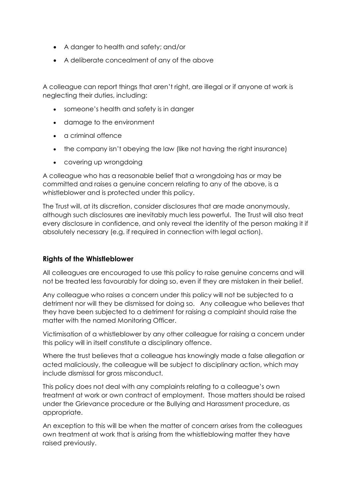- A danger to health and safety; and/or
- A deliberate concealment of any of the above

A colleague can report things that aren't right, are illegal or if anyone at work is neglecting their duties, including:

- someone's health and safety is in danger
- damage to the environment
- a criminal offence
- the company isn't obeying the law (like not having the right insurance)
- covering up wrongdoing

A colleague who has a reasonable belief that a wrongdoing has or may be committed and raises a genuine concern relating to any of the above, is a whistleblower and is protected under this policy.

The Trust will, at its discretion, consider disclosures that are made anonymously, although such disclosures are inevitably much less powerful. The Trust will also treat every disclosure in confidence, and only reveal the identity of the person making it if absolutely necessary (e.g. if required in connection with legal action).

#### **Rights of the Whistleblower**

All colleagues are encouraged to use this policy to raise genuine concerns and will not be treated less favourably for doing so, even if they are mistaken in their belief.

Any colleague who raises a concern under this policy will not be subjected to a detriment nor will they be dismissed for doing so. Any colleague who believes that they have been subjected to a detriment for raising a complaint should raise the matter with the named Monitoring Officer.

Victimisation of a whistleblower by any other colleague for raising a concern under this policy will in itself constitute a disciplinary offence.

Where the trust believes that a colleague has knowingly made a false allegation or acted maliciously, the colleague will be subject to disciplinary action, which may include dismissal for gross misconduct.

This policy does not deal with any complaints relating to a colleague's own treatment at work or own contract of employment. Those matters should be raised under the Grievance procedure or the Bullying and Harassment procedure, as appropriate.

An exception to this will be when the matter of concern arises from the colleagues own treatment at work that is arising from the whistleblowing matter they have raised previously.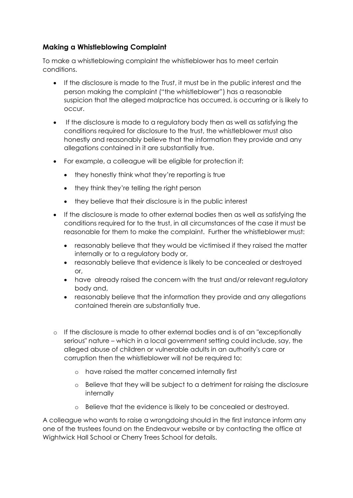### **Making a Whistleblowing Complaint**

To make a whistleblowing complaint the whistleblower has to meet certain conditions.

- If the disclosure is made to the *Trust*, it must be in the public interest and the person making the complaint ("the whistleblower") has a reasonable suspicion that the alleged malpractice has occurred, is occurring or is likely to occur.
- If the disclosure is made to a regulatory body then as well as satisfying the conditions required for disclosure to the trust, the whistleblower must also honestly and reasonably believe that the information they provide and any allegations contained in it are substantially true.
- For example, a colleague will be eligible for protection if:
	- they honestly think what they're reporting is true
	- they think they're telling the right person
	- they believe that their disclosure is in the public interest
- If the disclosure is made to other external bodies then as well as satisfying the conditions required for to the trust, in all circumstances of the case it must be reasonable for them to make the complaint. Further the whistleblower must:
	- reasonably believe that they would be victimised if they raised the matter internally or to a regulatory body or,
	- reasonably believe that evidence is likely to be concealed or destroyed or,
	- have already raised the concern with the trust and/or relevant regulatory body and,
	- reasonably believe that the information they provide and any allegations contained therein are substantially true.
- o If the disclosure is made to other external bodies and is of an "exceptionally serious" nature – which in a local government setting could include, say, the alleged abuse of children or vulnerable adults in an authority's care or corruption then the whistleblower will not be required to:
	- o have raised the matter concerned internally first
	- o Believe that they will be subject to a detriment for raising the disclosure internally
	- o Believe that the evidence is likely to be concealed or destroyed.

A colleague who wants to raise a wrongdoing should in the first instance inform any one of the trustees found on the Endeavour website or by contacting the office at Wightwick Hall School or Cherry Trees School for details.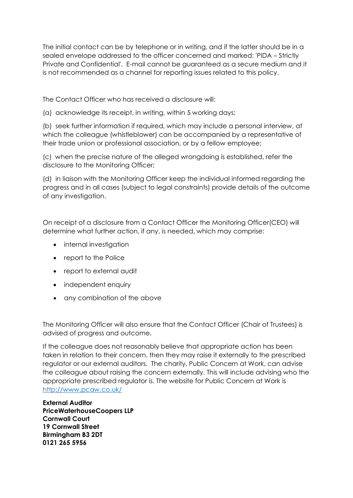The initial contact can be by telephone or in writing, and if the latter should be in a sealed envelope addressed to the officer concerned and marked: 'PIDA – Strictly Private and Confidential'. E-mail cannot be guaranteed as a secure medium and it is not recommended as a channel for reporting issues related to this policy.

The Contact Officer who has received a disclosure will:

(a) acknowledge its receipt, in writing, within 5 working days;

(b) seek further information if required, which may include a personal interview, at which the colleague (whistleblower) can be accompanied by a representative of their trade union or professional association, or by a fellow employee;

(c) when the precise nature of the alleged wrongdoing is established, refer the disclosure to the Monitoring Officer;

(d) in liaison with the Monitoring Officer keep the individual informed regarding the progress and in all cases (subject to legal constraints) provide details of the outcome of any investigation.

On receipt of a disclosure from a Contact Officer the Monitoring Officer(CEO) will determine what further action, if any, is needed, which may comprise:

- internal investigation
- report to the Police
- report to external audit
- independent enquiry
- any combination of the above

The Monitoring Officer will also ensure that the Contact Officer (Chair of Trustees) is advised of progress and outcome.

If the colleague does not reasonably believe that appropriate action has been taken in relation to their concern, then they may raise it externally to the prescribed regulator or our external auditors. The charity, Public Concern at Work, can advise the colleague about raising the concern externally. This will include advising who the appropriate prescribed regulator is. The website for Public Concern at Work is <http://www.pcaw.co.uk/>

**External Auditor PriceWaterhouseCoopers LLP Cornwall Court 19 Cornwall Street Birmingham B3 2DT 0121 265 5956**